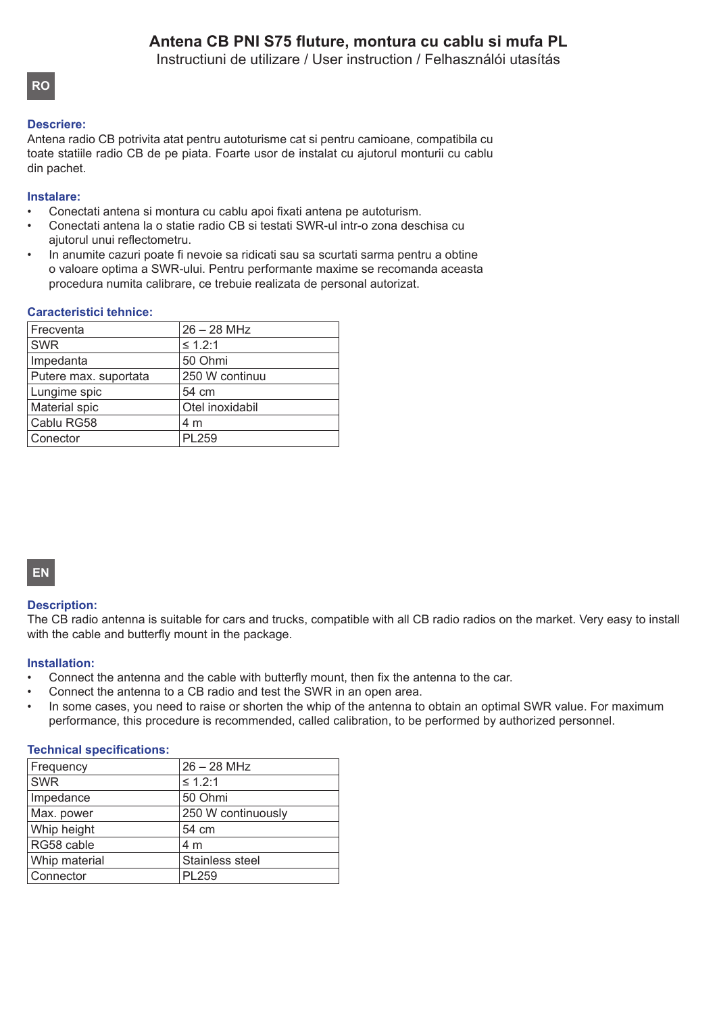Instructiuni de utilizare / User instruction / Felhasználói utasítás

## **RO**

## **Descriere:**

Antena radio CB potrivita atat pentru autoturisme cat si pentru camioane, compatibila cu toate statiile radio CB de pe piata. Foarte usor de instalat cu ajutorul monturii cu cablu din pachet.

#### **Instalare:**

- Conectati antena si montura cu cablu apoi fixati antena pe autoturism.
- Conectati antena la o statie radio CB si testati SWR-ul intr-o zona deschisa cu ajutorul unui reflectometru.
- In anumite cazuri poate fi nevoie sa ridicati sau sa scurtati sarma pentru a obtine o valoare optima a SWR-ului. Pentru performante maxime se recomanda aceasta procedura numita calibrare, ce trebuie realizata de personal autorizat.

#### **Caracteristici tehnice:**

| $26 - 28$ MHz   |
|-----------------|
| $\leq 1.2:1$    |
| 50 Ohmi         |
| 250 W continuu  |
| 54 cm           |
| Otel inoxidabil |
| 4 m             |
| <b>PL259</b>    |
|                 |

# **EN**

#### **Description:**

The CB radio antenna is suitable for cars and trucks, compatible with all CB radio radios on the market. Very easy to install with the cable and butterfly mount in the package.

#### **Installation:**

- Connect the antenna and the cable with butterfly mount, then fix the antenna to the car.
- Connect the antenna to a CB radio and test the SWR in an open area.
- In some cases, you need to raise or shorten the whip of the antenna to obtain an optimal SWR value. For maximum performance, this procedure is recommended, called calibration, to be performed by authorized personnel.

#### **Technical specifications:**

| Frequency     | $26 - 28$ MHz      |
|---------------|--------------------|
| <b>SWR</b>    | $\leq 1.2:1$       |
| Impedance     | 50 Ohmi            |
| Max. power    | 250 W continuously |
| Whip height   | 54 cm              |
| RG58 cable    | 4 m                |
| Whip material | Stainless steel    |
| Connector     | <b>PL259</b>       |